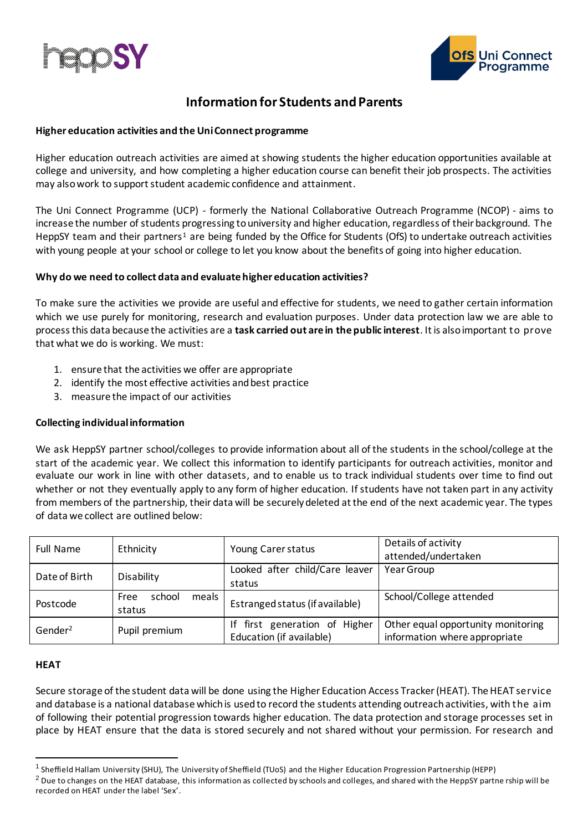



# **Information for Students and Parents**

# **Higher education activities and the Uni Connect programme**

Higher education outreach activities are aimed at showing students the higher education opportunities available at college and university, and how completing a higher education course can benefit their job prospects. The activities may also work to support student academic confidence and attainment.

The Uni Connect Programme (UCP) - formerly the National Collaborative Outreach Programme (NCOP) - aims to increase the number of students progressing to university and higher education, regardless of their background. The HeppSY team and their partners<sup>1</sup> are being funded by the Office for Students (OfS) to undertake outreach activities with young people at your school or college to let you know about the benefits of going into higher education.

# **Why do we need to collect data and evaluate higher education activities?**

To make sure the activities we provide are useful and effective for students, we need to gather certain information which we use purely for monitoring, research and evaluation purposes. Under data protection law we are able to process this data because the activities are a **task carried out are in the public interest**. It is also important to prove that what we do is working. We must:

- 1. ensure that the activities we offer are appropriate
- 2. identify the most effective activities and best practice
- 3. measure the impact of our activities

# **Collecting individual information**

We ask HeppSY partner school/colleges to provide information about all of the students in the school/college at the start of the academic year. We collect this information to identify participants for outreach activities, monitor and evaluate our work in line with other datasets, and to enable us to track individual students over time to find out whether or not they eventually apply to any form of higher education. If students have not taken part in any activity from members of the partnership, their data will be securely deleted at the end of the next academic year. The types of data we collect are outlined below:

| <b>Full Name</b>    | Ethnicity                           | Young Carer status                                        | Details of activity<br>attended/undertaken                          |
|---------------------|-------------------------------------|-----------------------------------------------------------|---------------------------------------------------------------------|
| Date of Birth       | Disability                          | Looked after child/Care leaver<br>status                  | Year Group                                                          |
| Postcode            | meals  <br>school<br>Free<br>status | Estranged status (if available)                           | School/College attended                                             |
| Gender <sup>2</sup> | Pupil premium                       | If first generation of Higher<br>Education (if available) | Other equal opportunity monitoring<br>information where appropriate |

#### **HEAT**

Secure storage of the student data will be done using the Higher Education Access Tracker (HEAT). The HEAT service and database is a national database which is used to record the students attending outreach activities, with the aim of following their potential progression towards higher education. The data protection and storage processes set in place by HEAT ensure that the data is stored securely and not shared without your permission. For research and

<sup>&</sup>lt;sup>1</sup> Sheffield Hallam University (SHU), The University of Sheffield (TUoS) and the Higher Education Progression Partnership (HEPP)

 $2$  Due to changes on the HEAT database, this information as collected by schools and colleges, and shared with the HeppSY partne rship will be recorded on HEAT under the label 'Sex'.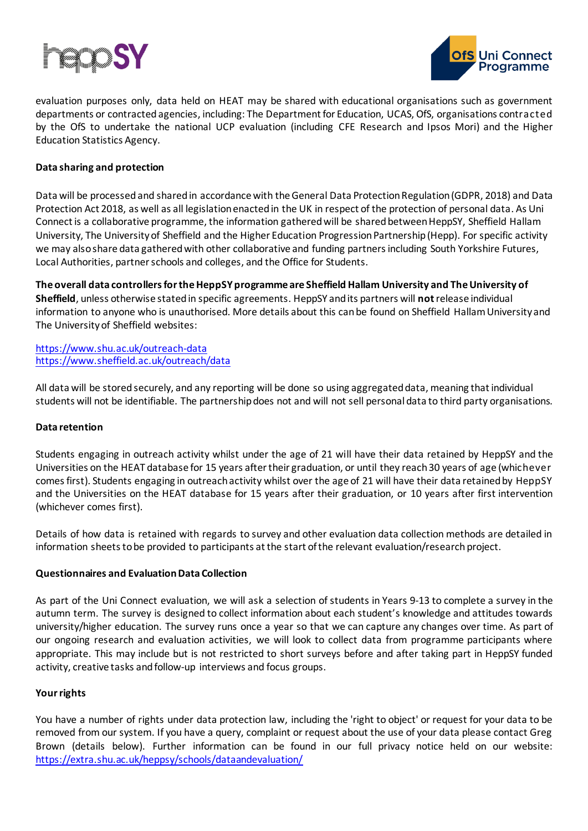



evaluation purposes only, data held on HEAT may be shared with educational organisations such as government departments or contracted agencies, including: The Department for Education, UCAS, OfS, organisations contracted by the OfS to undertake the national UCP evaluation (including CFE Research and Ipsos Mori) and the Higher Education Statistics Agency.

### **Data sharing and protection**

Data will be processed and sharedin accordance with the General Data Protection Regulation (GDPR, 2018) and Data Protection Act 2018, as well as all legislation enacted in the UK in respect of the protection of personal data. As Uni Connect is a collaborative programme, the information gatheredwill be shared between HeppSY, Sheffield Hallam University, The University of Sheffield and the Higher Education Progression Partnership(Hepp). For specific activity we may also share data gathered with other collaborative and funding partners including South Yorkshire Futures, Local Authorities, partner schools and colleges, and the Office for Students.

**The overall data controllers for the HeppSY programme are Sheffield Hallam University and The University of Sheffield**, unless otherwise stated in specific agreements. HeppSY and its partners will **not**release individual information to anyone who is unauthorised. More details about this can be found on Sheffield Hallam University and The University of Sheffield websites:

<https://www.shu.ac.uk/outreach-data> <https://www.sheffield.ac.uk/outreach/data>

All data will be stored securely, and any reporting will be done so using aggregated data, meaning that individual students will not be identifiable. The partnership does not and will not sell personal data to third party organisations.

#### **Data retention**

Students engaging in outreach activity whilst under the age of 21 will have their data retained by HeppSY and the Universities on the HEAT database for 15 years after their graduation, or until they reach 30 years of age (whichever comes first). Students engaging in outreach activity whilst over the age of 21 will have their data retained by HeppSY and the Universities on the HEAT database for 15 years after their graduation, or 10 years after first intervention (whichever comes first).

Details of how data is retained with regards to survey and other evaluation data collection methods are detailed in information sheets to be provided to participants at the start of the relevant evaluation/research project.

#### **Questionnaires and Evaluation Data Collection**

As part of the Uni Connect evaluation, we will ask a selection of students in Years 9-13 to complete a survey in the autumn term. The survey is designed to collect information about each student's knowledge and attitudes towards university/higher education. The survey runs once a year so that we can capture any changes over time. As part of our ongoing research and evaluation activities, we will look to collect data from programme participants where appropriate. This may include but is not restricted to short surveys before and after taking part in HeppSY funded activity, creative tasks and follow-up interviews and focus groups.

#### **Your rights**

You have a number of rights under data protection law, including the 'right to object' or request for your data to be removed from our system. If you have a query, complaint or request about the use of your data please contact Greg Brown (details below). Further information can be found in our full privacy notice held on our website: <https://extra.shu.ac.uk/heppsy/schools/dataandevaluation/>